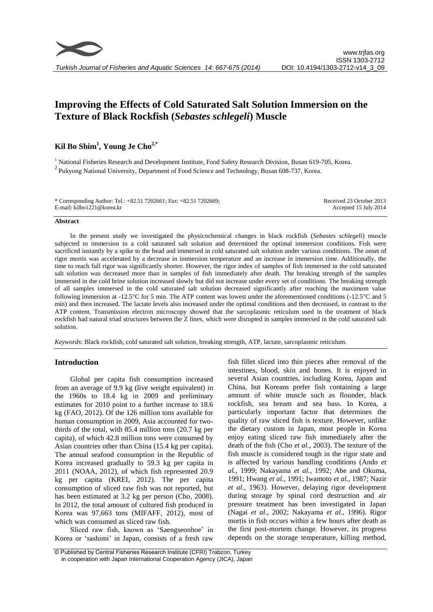

# **Improving the Effects of Cold Saturated Salt Solution Immersion on the Texture of Black Rockfish (***Sebastes schlegeli***) Muscle**

## **Kil Bo Shim<sup>1</sup> , Young Je Cho2,\***

<sup>1</sup> National Fisheries Research and Development Institute, Food Safety Research Division, Busan 619-705, Korea.  $2$ Pukyong National University, Department of Food Science and Technology, Busan 608-737, Korea.

| * Corresponding Author: Tel.: +82.51 7202661; Fax: +82.51 7202669; | Received 23 October 2013 |
|--------------------------------------------------------------------|--------------------------|
| E-mail: kilbo1221@korea.kr                                         | Accepted 15 July 2014    |

#### **Abstract**

In the present study we investigated the physicochemical changes in black rockfish (*Sebastes schlegeli*) muscle subjected to immersion in a cold saturated salt solution and determined the optimal immersion conditions. Fish were sacrificed instantly by a spike to the head and immersed in cold saturated salt solution under various conditions. The onset of rigor mortis was accelerated by a decrease in immersion temperature and an increase in immersion time. Additionally, the time to reach full rigor was significantly shorter. However, the rigor index of samples of fish immersed in the cold saturated salt solution was decreased more than in samples of fish immediately after death. The breaking strength of the samples immersed in the cold brine solution increased slowly but did not increase under every set of conditions. The breaking strength of all samples immersed in the cold saturated salt solution decreased significantly after reaching the maximum value following immersion at -12.5°C for 5 min. The ATP content was lowest under the aforementioned conditions (-12.5°C and 5 min) and then increased. The lactate levels also increased under the optimal conditions and then decreased, in contrast to the ATP content. Transmission electron microscopy showed that the sarcoplasmic reticulum used in the treatment of black rockfish had natural triad structures between the Z lines, which were disrupted in samples immersed in the cold saturated salt solution.

*Keywords*: Black rockfish, cold saturated salt solution, breaking strength, ATP, lactate, sarcoplasmic reticulum.

## **Introduction**

Global per capita fish consumption increased from an average of 9.9 kg (live weight equivalent) in the 1960s to 18.4 kg in 2009 and preliminary estimates for 2010 point to a further increase to 18.6 kg (FAO, 2012). Of the 126 million tons available for human consumption in 2009, Asia accounted for twothirds of the total, with 85.4 million tons (20.7 kg per capita), of which 42.8 million tons were consumed by Asian countries other than China (15.4 kg per capita). The annual seafood consumption in the Republic of Korea increased gradually to 59.3 kg per capita in 2011 (NOAA, 2012), of which fish represented 20.9 kg per capita (KREI, 2012). The per capita consumption of sliced raw fish was not reported, but has been estimated at 3.2 kg per person (Cho, 2008). In 2012, the total amount of cultured fish produced in Korea was 97,663 tons (MIFAFF, 2012), most of which was consumed as sliced raw fish.

Sliced raw fish, known as 'Saengseonhoe' in Korea or 'sashimi' in Japan, consists of a fresh raw

fish fillet sliced into thin pieces after removal of the intestines, blood, skin and bones. It is enjoyed in several Asian countries, including Korea, Japan and China, but Koreans prefer fish containing a large amount of white muscle such as flounder, black rockfish, sea bream and sea bass. In Korea, a particularly important factor that determines the quality of raw sliced fish is texture. However, unlike the dietary custom in Japan, most people in Korea enjoy eating sliced raw fish immediately after the death of the fish (Cho *et al.*, 2003). The texture of the fish muscle is considered tough in the rigor state and is affected by various handling conditions (Ando *et al.*, 1999; Nakayama *et al.*, 1992; Abe and Okuma, 1991; Hwang *et al.*, 1991; Iwamoto *et al.*, 1987; Nazir *et al.*, 1963). However, delaying rigor development during storage by spinal cord destruction and air pressure treatment has been investigated in Japan (Nagai *et al.*, 2002; Nakayama *et al.*, 1996). Rigor mortis in fish occurs within a few hours after death as the first post-mortem change. However, its progress depends on the storage temperature, killing method,

<sup>©</sup> Published by Central Fisheries Research Institute (CFRI) Trabzon, Turkey in cooperation with Japan International Cooperation Agency (JICA), Japan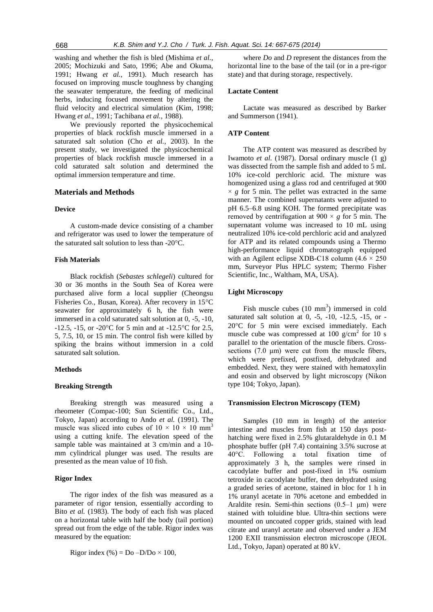washing and whether the fish is bled (Mishima *et al.*, 2005; Mochizuki and Sato, 1996; Abe and Okuma, 1991; Hwang *et al.*, 1991). Much research has focused on improving muscle toughness by changing the seawater temperature, the feeding of medicinal herbs, inducing focused movement by altering the fluid velocity and electrical simulation (Kim, 1998; Hwang *et al.*, 1991; Tachibana *et al.*, 1988).

We previously reported the physicochemical properties of black rockfish muscle immersed in a saturated salt solution (Cho *et al.*, 2003). In the present study, we investigated the physicochemical properties of black rockfish muscle immersed in a cold saturated salt solution and determined the optimal immersion temperature and time.

## **Materials and Methods**

#### **Device**

A custom-made device consisting of a chamber and refrigerator was used to lower the temperature of the saturated salt solution to less than  $-20^{\circ}$ C.

## **Fish Materials**

Black rockfish (*Sebastes schlegeli*) cultured for 30 or 36 months in the South Sea of Korea were purchased alive form a local supplier (Cheongsu Fisheries Co., Busan, Korea). After recovery in 15°C seawater for approximately 6 h, the fish were immersed in a cold saturated salt solution at 0, -5, -10,  $-12.5$ ,  $-15$ , or  $-20^{\circ}$ C for 5 min and at  $-12.5^{\circ}$ C for 2.5, 5, 7.5, 10, or 15 min. The control fish were killed by spiking the brains without immersion in a cold saturated salt solution.

#### **Methods**

## **Breaking Strength**

Breaking strength was measured using a rheometer (Compac-100; Sun Scientific Co., Ltd., Tokyo, Japan) according to Ando *et al.* (1991). The muscle was sliced into cubes of  $10 \times 10 \times 10 \text{ mm}^3$ using a cutting knife. The elevation speed of the sample table was maintained at 3 cm/min and a 10 mm cylindrical plunger was used. The results are presented as the mean value of 10 fish.

#### **Rigor Index**

The rigor index of the fish was measured as a parameter of rigor tension, essentially according to Bito *et al.* (1983). The body of each fish was placed on a horizontal table with half the body (tail portion) spread out from the edge of the table. Rigor index was measured by the equation:

Rigor index (%) =  $Do -D/Do \times 100$ ,

where *Do* and *D* represent the distances from the horizontal line to the base of the tail (or in a pre-rigor state) and that during storage, respectively.

## **Lactate Content**

Lactate was measured as described by Barker and Summerson (1941).

## **ATP Content**

The ATP content was measured as described by Iwamoto *et al.* (1987). Dorsal ordinary muscle (1 g) was dissected from the sample fish and added to 5 mL 10% ice-cold perchloric acid. The mixture was homogenized using a glass rod and centrifuged at 900  $\times g$  for 5 min. The pellet was extracted in the same manner. The combined supernatants were adjusted to pH 6.5–6.8 using KOH. The formed precipitate was removed by centrifugation at  $900 \times g$  for 5 min. The supernatant volume was increased to 10 mL using neutralized 10% ice-cold perchloric acid and analyzed for ATP and its related compounds using a Thermo high-performance liquid chromatograph equipped with an Agilent eclipse XDB-C18 column  $(4.6 \times 250)$ mm, Surveyor Plus HPLC system; Thermo Fisher Scientific, Inc., Waltham, MA, USA).

#### **Light Microscopy**

Fish muscle cubes  $(10 \text{ mm}^3)$  immersed in cold saturated salt solution at  $0, -5, -10, -12.5, -15,$  or -20°C for 5 min were excised immediately. Each muscle cube was compressed at 100  $g/cm^2$  for 10 s parallel to the orientation of the muscle fibers. Crosssections (7.0 μm) were cut from the muscle fibers, which were prefixed, postfixed, dehydrated and embedded. Next, they were stained with hematoxylin and eosin and observed by light microscopy (Nikon type 104; Tokyo, Japan).

#### **Transmission Electron Microscopy (TEM)**

Samples (10 mm in length) of the anterior intestine and muscles from fish at 150 days posthatching were fixed in 2.5% glutaraldehyde in 0.1 M phosphate buffer (pH 7.4) containing 3.5% sucrose at 40°C. Following a total fixation time of approximately 3 h, the samples were rinsed in cacodylate buffer and post-fixed in 1% osmium tetroxide in cacodylate buffer, then dehydrated using a graded series of acetone, stained in bloc for 1 h in 1% uranyl acetate in 70% acetone and embedded in Araldite resin. Semi-thin sections  $(0.5-1 \mu m)$  were stained with toluidine blue. Ultra-thin sections were mounted on uncoated copper grids, stained with lead citrate and uranyl acetate and observed under a JEM 1200 EXII transmission electron microscope (JEOL Ltd., Tokyo, Japan) operated at 80 kV.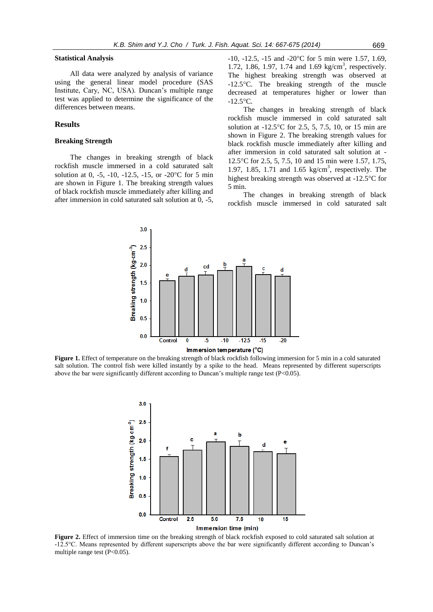#### **Statistical Analysis**

All data were analyzed by analysis of variance using the general linear model procedure (SAS Institute, Cary, NC, USA). Duncan's multiple range test was applied to determine the significance of the differences between means.

## **Results**

## **Breaking Strength**

The changes in breaking strength of black rockfish muscle immersed in a cold saturated salt solution at 0, -5, -10, -12.5, -15, or -20 $^{\circ}$ C for 5 min are shown in Figure 1. The breaking strength values of black rockfish muscle immediately after killing and after immersion in cold saturated salt solution at 0, -5,

 $-10$ ,  $-12.5$ ,  $-15$  and  $-20^{\circ}$ C for 5 min were 1.57, 1.69, 1.72, 1.86, 1.97, 1.74 and 1.69 kg/cm<sup>3</sup>, respectively. The highest breaking strength was observed at -12.5C. The breaking strength of the muscle decreased at temperatures higher or lower than  $-12.5$ °C.

The changes in breaking strength of black rockfish muscle immersed in cold saturated salt solution at  $-12.5^{\circ}$ C for 2.5, 5, 7.5, 10, or 15 min are shown in Figure 2. The breaking strength values for black rockfish muscle immediately after killing and after immersion in cold saturated salt solution at - 12.5C for 2.5, 5, 7.5, 10 and 15 min were 1.57, 1.75, 1.97, 1.85, 1.71 and 1.65  $\text{kg/cm}^3$ , respectively. The highest breaking strength was observed at -12.5°C for 5 min.

The changes in breaking strength of black rockfish muscle immersed in cold saturated salt



**Figure 1.** Effect of temperature on the breaking strength of black rockfish following immersion for 5 min in a cold saturated salt solution. The control fish were killed instantly by a spike to the head. Means represented by different superscripts above the bar were significantly different according to Duncan's multiple range test (P<0.05).



**Figure 2.** Effect of immersion time on the breaking strength of black rockfish exposed to cold saturated salt solution at -12.5°C. Means represented by different superscripts above the bar were significantly different according to Duncan's multiple range test (P<0.05).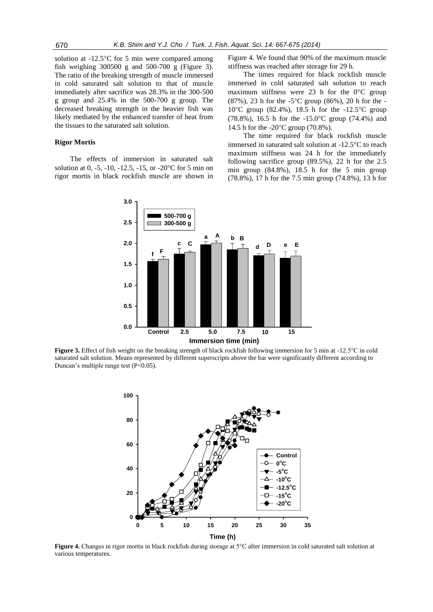solution at  $-12.5^{\circ}$ C for 5 min were compared among fish weighing 300500 g and 500-700 g (Figure 3). The ratio of the breaking strength of muscle immersed in cold saturated salt solution to that of muscle immediately after sacrifice was 28.3% in the 300-500 g group and 25.4% in the 500-700 g group. The decreased breaking strength in the heavier fish was likely mediated by the enhanced transfer of heat from the tissues to the saturated salt solution.

#### **Rigor Mortis**

The effects of immersion in saturated salt solution at 0, -5, -10, -12.5, -15, or -20 $^{\circ}$ C for 5 min on rigor mortis in black rockfish muscle are shown in Figure 4. We found that 90% of the maximum muscle stiffness was reached after storage for 29 h.

The times required for black rockfish muscle immersed in cold saturated salt solution to reach maximum stiffness were 23 h for the  $0^{\circ}$ C group (87%), 23 h for the -5 $^{\circ}$ C group (86%), 20 h for the -10<sup>o</sup>C group (82.4%), 18.5 h for the  $-12.5$ <sup>o</sup>C group (78.8%), 16.5 h for the  $-15.0^{\circ}$ C group (74.4%) and 14.5 h for the -20°C group (70.8%).

The time required for black rockfish muscle immersed in saturated salt solution at  $-12.5^{\circ}$ C to reach maximum stiffness was 24 h for the immediately following sacrifice group (89.5%), 22 h for the 2.5 min group (84.8%), 18.5 h for the 5 min group (78.8%), 17 h for the 7.5 min group (74.8%), 13 h for



f fish<br>ion.<br>rang **Figure 3.** Effect of fish weight on the breaking strength of black rockfish following immersion for 5 min at -12.5°C in cold saturated salt solution. Means represented by different superscripts above the bar were significantly different according to Duncan's multiple range test (P<0.05).



**Figure 4.** Changes in rigor mortis in black rockfish during storage at 5°C after immersion in cold saturated salt solution at various temperatures.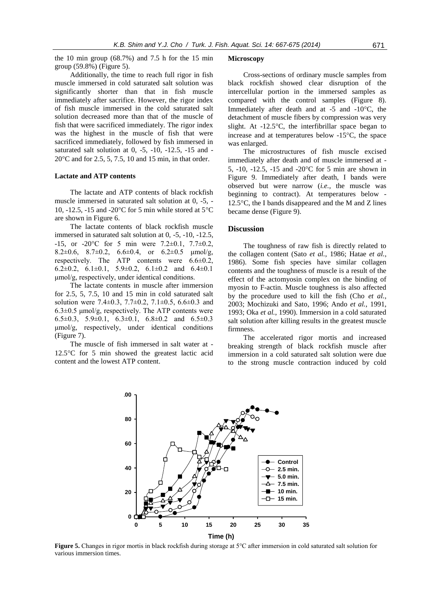the 10 min group  $(68.7%)$  and 7.5 h for the 15 min group (59.8%) (Figure 5).

Additionally, the time to reach full rigor in fish muscle immersed in cold saturated salt solution was significantly shorter than that in fish muscle immediately after sacrifice. However, the rigor index of fish muscle immersed in the cold saturated salt solution decreased more than that of the muscle of fish that were sacrificed immediately. The rigor index was the highest in the muscle of fish that were sacrificed immediately, followed by fish immersed in saturated salt solution at  $0, -5, -10, -12.5, -15$  and - $20^{\circ}$ C and for 2.5, 5, 7.5, 10 and 15 min, in that order.

#### **Lactate and ATP contents**

The lactate and ATP contents of black rockfish muscle immersed in saturated salt solution at 0, -5, - 10, -12.5, -15 and -20 $\mathrm{^{\circ}C}$  for 5 min while stored at 5 $\mathrm{^{\circ}C}$ are shown in Figure 6.

The lactate contents of black rockfish muscle immersed in saturated salt solution at 0, -5, -10, -12.5,  $-15$ , or  $-20^{\circ}$ C for 5 min were  $7.2 \pm 0.1$ ,  $7.7 \pm 0.2$ , 8.2 $\pm$ 0.6, 8.7 $\pm$ 0.2, 6.6 $\pm$ 0.4, or 6.2 $\pm$ 0.5  $\mu$ mol/g, respectively. The ATP contents were  $6.6 \pm 0.2$ , 6.2 $\pm$ 0.2, 6.1 $\pm$ 0.1, 5.9 $\pm$ 0.2, 6.1 $\pm$ 0.2 and 6.4 $\pm$ 0.1 μmol/g, respectively, under identical conditions.

The lactate contents in muscle after immersion for 2.5, 5, 7.5, 10 and 15 min in cold saturated salt solution were 7.4±0.3, 7.7±0.2, 7.1±0.5, 6.6±0.3 and  $6.3\pm0.5$   $\mu$ mol/g, respectively. The ATP contents were 6.5 $\pm$ 0.3, 5.9 $\pm$ 0.1, 6.3 $\pm$ 0.1, 6.8 $\pm$ 0.2 and 6.5 $\pm$ 0.3 μmol/g, respectively, under identical conditions (Figure 7).

The muscle of fish immersed in salt water at -  $12.5^{\circ}$ C for 5 min showed the greatest lactic acid content and the lowest ATP content.

#### **Microscopy**

Cross-sections of ordinary muscle samples from black rockfish showed clear disruption of the intercellular portion in the immersed samples as compared with the control samples (Figure 8). Immediately after death and at  $-5$  and  $-10^{\circ}$ C, the detachment of muscle fibers by compression was very slight. At  $-12.5^{\circ}$ C, the interfibrillar space began to increase and at temperatures below  $-15^{\circ}$ C, the space was enlarged.

The microstructures of fish muscle excised immediately after death and of muscle immersed at - 5,  $-10$ ,  $-12.5$ ,  $-15$  and  $-20^{\circ}$ C for 5 min are shown in Figure 9. Immediately after death, I bands were observed but were narrow (*i.e.*, the muscle was beginning to contract). At temperatures below - 12.5 $\degree$ C, the I bands disappeared and the M and Z lines became dense (Figure 9).

## **Discussion**

The toughness of raw fish is directly related to the collagen content (Sato *et al.*, 1986; Hatae *et al.*, 1986). Some fish species have similar collagen contents and the toughness of muscle is a result of the effect of the actomyosin complex on the binding of myosin to F-actin. Muscle toughness is also affected by the procedure used to kill the fish (Cho *et al.*, 2003; Mochizuki and Sato, 1996; Ando *et al.*, 1991, 1993; Oka *et al.*, 1990). Immersion in a cold saturated salt solution after killing results in the greatest muscle firmness.

The accelerated rigor mortis and increased breaking strength of black rockfish muscle after immersion in a cold saturated salt solution were due to the strong muscle contraction induced by cold



**Figure 5.** Changes in rigor mortis in black rockfish during storage at 5°C after immersion in cold saturated salt solution for various immersion times.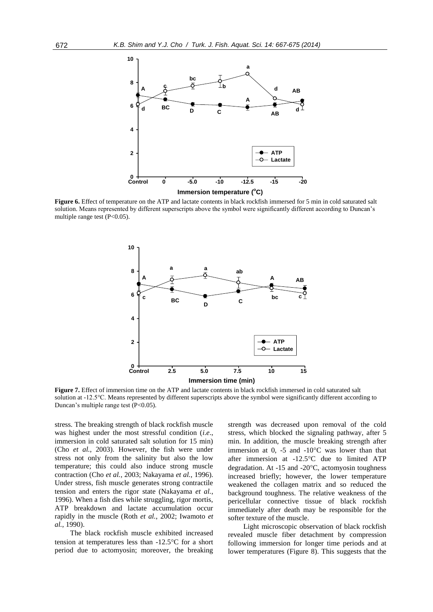

Figure 6. Effect of temperature on the ATP and lactate contents in black rockfish immersed for 5 min in cold saturated salt solution. Means represented by different superscripts above the symbol were significantly different according to Duncan's multiple range test (P<0.05).



**Figure 7.** Effect of immersion time on the ATP and lactate contents in black rockfish immersed in cold saturated salt solution at -12.5°C. Means represented by different superscripts above the symbol were significantly different according to Duncan's multiple range test (P<0.05).

stress. The breaking strength of black rockfish muscle was highest under the most stressful condition (*i*.*e*., immersion in cold saturated salt solution for 15 min) (Cho *et al.*, 2003). However, the fish were under stress not only from the salinity but also the low temperature; this could also induce strong muscle contraction (Cho *et al.*, 2003; Nakayama *et al.*, 1996). Under stress, fish muscle generates strong contractile tension and enters the rigor state (Nakayama *et al.*, 1996). When a fish dies while struggling, rigor mortis, ATP breakdown and lactate accumulation occur rapidly in the muscle (Roth *et al.*, 2002; Iwamoto *et al.*, 1990).

The black rockfish muscle exhibited increased tension at temperatures less than  $-12.5^{\circ}$ C for a short period due to actomyosin; moreover, the breaking strength was decreased upon removal of the cold stress, which blocked the signaling pathway, after 5 min. In addition, the muscle breaking strength after immersion at 0, -5 and  $-10^{\circ}$ C was lower than that after immersion at  $-12.5$ °C due to limited ATP degradation. At -15 and -20 $\degree$ C, actomyosin toughness increased briefly; however, the lower temperature weakened the collagen matrix and so reduced the background toughness. The relative weakness of the pericellular connective tissue of black rockfish immediately after death may be responsible for the softer texture of the muscle.

Light microscopic observation of black rockfish revealed muscle fiber detachment by compression following immersion for longer time periods and at lower temperatures (Figure 8). This suggests that the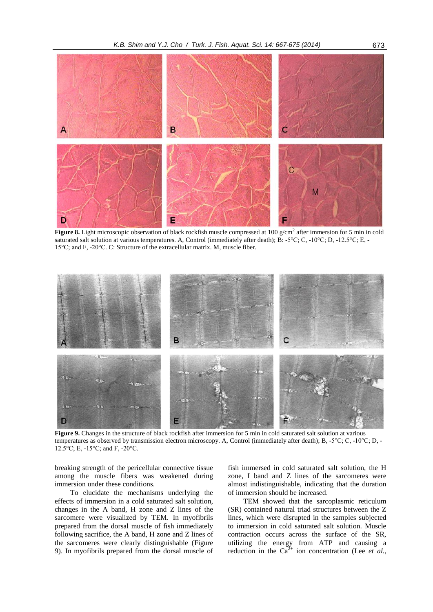

**Figure 8.** Light microscopic observation of black rockfish muscle compressed at 100 g/cm<sup>2</sup> after immersion for 5 min in cold saturated salt solution at various temperatures. A, Control (immediately after death); B: -5°C; C, -10°C; D, -12.5°C; E, - 15°C; and F, -20°C. C: Structure of the extracellular matrix. M, muscle fiber.



Figure 9. Changes in the structure of black rockfish after immersion for 5 min in cold saturated salt solution at various temperatures as observed by transmission electron microscopy. A, Control (immediately after death); B, -5°C; C, -10°C; D, - 12.5°C; E, -15°C; and F, -20°C.

breaking strength of the pericellular connective tissue among the muscle fibers was weakened during immersion under these conditions.

To elucidate the mechanisms underlying the effects of immersion in a cold saturated salt solution, changes in the A band, H zone and Z lines of the sarcomere were visualized by TEM. In myofibrils prepared from the dorsal muscle of fish immediately following sacrifice, the A band, H zone and Z lines of the sarcomeres were clearly distinguishable (Figure 9). In myofibrils prepared from the dorsal muscle of fish immersed in cold saturated salt solution, the H zone, I band and Z lines of the sarcomeres were almost indistinguishable, indicating that the duration of immersion should be increased.

TEM showed that the sarcoplasmic reticulum (SR) contained natural triad structures between the Z lines, which were disrupted in the samples subjected to immersion in cold saturated salt solution. Muscle contraction occurs across the surface of the SR, utilizing the energy from ATP and causing a reduction in the  $Ca^{2+}$  ion concentration (Lee *et al.*,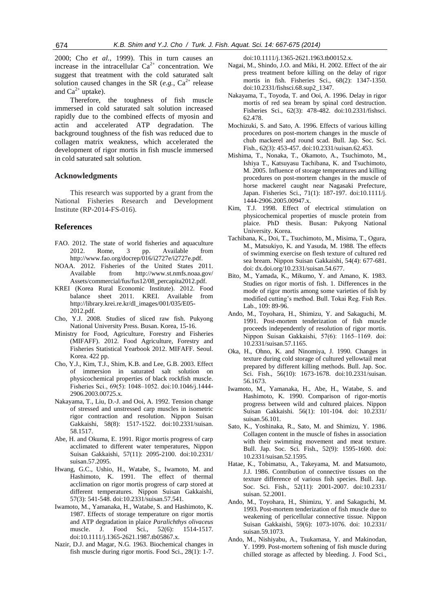2000; Cho *et al.*, 1999). This in turn causes an increase in the intracellular  $Ca^{2+}$  concentration. We suggest that treatment with the cold saturated salt solution caused changes in the SR  $(e.g., Ca<sup>2+</sup>$  release and  $Ca^{2+}$  uptake).

Therefore, the toughness of fish muscle immersed in cold saturated salt solution increased rapidly due to the combined effects of myosin and actin and accelerated ATP degradation. The background toughness of the fish was reduced due to collagen matrix weakness, which accelerated the development of rigor mortis in fish muscle immersed in cold saturated salt solution.

#### **Acknowledgments**

This research was supported by a grant from the National Fisheries Research and Development Institute (RP-2014-FS-016).

## **References**

- FAO. 2012. The state of world fisheries and aquaculture 2012. Rome, 3 pp. Available from [http://www.fao.org/docrep/016/i2727e/i2727e.pdf.](http://www.fao.org/docrep/016/i2727e/i2727e.pdf)
- NOAA. 2012. Fisheries of the United States 2011. Available from [http://www.st.nmfs.noaa.gov/](http://www.st.nmfs.noaa.gov/Assets/commercial/fus/fus12/08_percapita2012.pdf) [Assets/commercial/fus/fus12/08\\_percapita2012.pdf.](http://www.st.nmfs.noaa.gov/Assets/commercial/fus/fus12/08_percapita2012.pdf)
- KREI (Korea Rural Economic Institute). 2012. Food balance sheet 2011. KREI. Available from [http://library.krei.re.kr/dl\\_images/001/035/E05-](http://library.krei.re.kr/dl_images/001/035/E05-2012.pdf) [2012.pdf.](http://library.krei.re.kr/dl_images/001/035/E05-2012.pdf)
- Cho, Y.J. 2008. Studies of sliced raw fish. Pukyong National University Press. Busan. Korea, 15-16.
- Ministry for Food, Agriculture, Forestry and Fisheries (MIFAFF). 2012. Food Agriculture, Forestry and Fisheries Statistical Yearbook 2012. MIFAFF. Seoul. Korea. 422 pp.
- Cho, Y.J., Kim, T.J., Shim, K.B. and Lee, G.B. 2003. Effect of immersion in saturated salt solution on physicochemical properties of black rockfish muscle. Fisheries Sci., 69(5): 1048‒1052. doi:10.1046/j.1444- 2906.2003.00725.x.
- Nakayama, T., Liu, D.-J. and Ooi, A. 1992. Tension change of stressed and unstressed carp muscles in isometric rigor contraction and resolution. Nippon Suisan Gakkaishi, 58(8): 1517-1522. doi:10.2331/suisan. 58.1517.
- Abe, H. and Okuma, E. 1991. Rigor mortis progress of carp acclimated to different water temperatures, Nippon Suisan Gakkaishi, 57(11): 2095-2100. doi:10.2331/ suisan.57.2095.
- Hwang, G.C., Ushio, H., Watabe, S., Iwamoto, M. and Hashimoto, K. 1991. The effect of thermal acclimation on rigor mortis progress of carp stored at different temperatures. Nippon Suisan Gakkaishi, 57(3): 541-548. doi:10.2331/suisan.57.541.
- Iwamoto, M., Yamanaka, H., Watabe, S. and Hashimoto, K. 1987. Effects of storage temperature on rigor mortis and ATP degradation in plaice *Paralichthys olivaceus* muscle. J. Food Sci., 52(6): 1514-1517. doi:10.1111/j.1365-2621.1987.tb05867.x.
- Nazir, D.J. and Magar, N.G. 1963. Biochemical changes in fish muscle during rigor mortis. Food Sci., 28(1): 1-7.

doi:10.1111/j.1365-2621.1963.tb00152.x.

- Nagai, M., Shindo, J.O. and Miki, H. 2002. Effect of the air press treatment before killing on the delay of rigor mortis in fish. Fisheries Sci., 68(2): 1347-1350. doi:10.2331/fishsci.68.sup2\_1347.
- Nakayama, T., Toyoda, T. and Ooi, A. 1996. Delay in rigor mortis of red sea bream by spinal cord destruction. Fisheries Sci., 62(3): 478-482. doi:10.2331/fishsci. 62.478.
- Mochizuki, S. and Sato, A. 1996. Effects of various killing procedures on post-mortem changes in the muscle of chub mackerel and round scad. Bull. Jap. Soc. Sci. Fish., 62(3): 453-457. doi:10.2331/suisan.62.453.
- Mishima, T., Nonaka, T., Okamoto, A., Tsuchimoto, M., Ishiya T., Katsuyasu Tachibana, K. and Tsuchimoto, M. 2005. Influence of storage temperatures and killing procedures on post-mortem changes in the muscle of horse mackerel caught near Nagasaki Prefecture, Japan. Fisheries Sci., 71(1): 187-197. doi:10.1111/j. 1444-2906.2005.00947.x.
- Kim, T.J. 1998. Effect of electrical stimulation on physicochemical properties of muscle protein from plaice. PhD thesis. Busan: Pukyong National University. Korea.
- Tachibana, K., Doi, T., Tsuchimoto, M., Misima, T., Ogura, M., Matsukiyo, K. and Yasuda, M. 1988. The effects of swimming exercise on flesh texture of cultured red sea bream. Nippon Suisan Gakkaishi, 54(4): 677-681. doi: dx.doi.org/10.2331/suisan.54.677.
- Bito, M., Yamada, K., Mikumo, Y. and Amano, K. 1983. Studies on rigor mortis of fish. 1. Differences in the mode of rigor mortis among some varieties of fish by modified cutting's method. Bull. Tokai Reg. Fish Res. Lab., 109: 89-96.
- Ando, M., Toyohara, H., Shimizu, Y. and Sakaguchi, M. 1991. Post-mortem tenderization of fish muscle proceeds independently of resolution of rigor mortis. Nippon Suisan Gakkaishi, 57(6): 1165-1169. doi: 10.2331/suisan.57.1165.
- Oka, H., Ohno, K. and Ninomiya, J. 1990. Changes in texture during cold storage of cultured yellowtail meat prepared by different killing methods. Bull. Jap. Soc. Sci. Fish., 56(10): 1673-1678. doi:10.2331/suisan. 56.1673.
- Iwamoto, M., Yamanaka, H., Abe, H., Watabe, S. and Hashimoto, K. 1990. Comparison of rigor-mortis progress between wild and cultured plaices. Nippon Suisan Gakkaishi. 56(1): 101-104. doi: 10.2331/ suisan.56.101.
- Sato, K., Yoshinaka, R., Sato, M. and Shimizu, Y. 1986. Collagen content in the muscle of fishes in association with their swimming movement and meat texture. Bull. Jap. Soc. Sci. Fish., 52(9): 1595-1600. doi: 10.2331/suisan.52.1595.
- Hatae, K., Tobimatsu, A., Takeyama, M. and Matsumoto, J.J. 1986. Contribution of connective tissues on the texture difference of various fish species. Bull. Jap. Soc. Sci. Fish., 52(11): 2001-2007. doi:10.2331/ suisan. 52.2001.
- Ando, M., Toyohara, H., Shimizu, Y. and Sakaguchi, M. 1993. Post-mortem tenderization of fish muscle due to weakening of pericellular connective tissue. Nippon Suisan Gakkaishi, 59(6): 1073-1076. doi: 10.2331/ suisan.59.1073.
- Ando, M., Nishiyabu, A., Tsukamasa, Y. and Makinodan, Y. 1999. Post-mortem softening of fish muscle during chilled storage as affected by bleeding. J. Food Sci.,